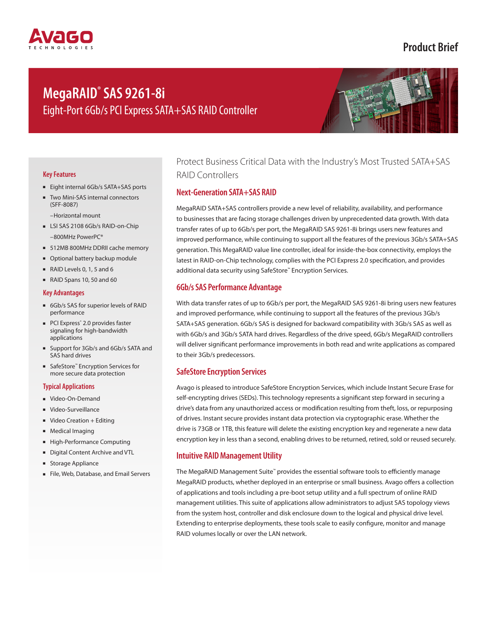# **Product Brief**

# **MegaRAID® SAS 9261-8i** Eight-Port 6Gb/s PCI Express SATA+SAS RAID Controller



## **Key Features**

- Eight internal 6Gb/s SATA+SAS ports
- Two Mini-SAS internal connectors (SFF-8087)

–Horizontal mount

- LSI SAS 2108 6Gb/s RAID-on-Chip –800MHz PowerPC®
- 512MB 800MHz DDRII cache memory
- Optional battery backup module
- RAID Levels 0, 1, 5 and 6
- RAID Spans 10, 50 and 60

### **Key Advantages**

- 6Gb/s SAS for superior levels of RAID performance
- PCI Express<sup>®</sup> 2.0 provides faster signaling for high-bandwidth applications
- Support for 3Gb/s and 6Gb/s SATA and SAS hard drives
- SafeStore<sup>™</sup> Encryption Services for more secure data protection

## **Typical Applications**

- Video-On-Demand
- Video-Surveillance
- Video Creation + Editing
- Medical Imaging
- High-Performance Computing
- Digital Content Archive and VTL
- Storage Appliance
- File, Web, Database, and Email Servers

## Protect Business Critical Data with the Industry's Most Trusted SATA+SAS RAID Controllers

## **Next-Generation SATA+SAS RAID**

MegaRAID SATA+SAS controllers provide a new level of reliability, availability, and performance to businesses that are facing storage challenges driven by unprecedented data growth. With data transfer rates of up to 6Gb/s per port, the MegaRAID SAS 9261-8i brings users new features and improved performance, while continuing to support all the features of the previous 3Gb/s SATA+SAS generation. This MegaRAID value line controller, ideal for inside-the-box connectivity, employs the latest in RAID-on-Chip technology, complies with the PCI Express 2.0 specification, and provides additional data security using SafeStore™ Encryption Services.

## **6Gb/s SAS Performance Advantage**

With data transfer rates of up to 6Gb/s per port, the MegaRAID SAS 9261-8i bring users new features and improved performance, while continuing to support all the features of the previous 3Gb/s SATA+SAS generation. 6Gb/s SAS is designed for backward compatibility with 3Gb/s SAS as well as with 6Gb/s and 3Gb/s SATA hard drives. Regardless of the drive speed, 6Gb/s MegaRAID controllers will deliver significant performance improvements in both read and write applications as compared to their 3Gb/s predecessors.

## **SafeStore Encryption Services**

Avago is pleased to introduce SafeStore Encryption Services, which include Instant Secure Erase for self-encrypting drives (SEDs). This technology represents a significant step forward in securing a drive's data from any unauthorized access or modification resulting from theft, loss, or repurposing of drives. Instant secure provides instant data protection via cryptographic erase. Whether the drive is 73GB or 1TB, this feature will delete the existing encryption key and regenerate a new data encryption key in less than a second, enabling drives to be returned, retired, sold or reused securely.

## **Intuitive RAID Management Utility**

The MegaRAID Management Suite™ provides the essential software tools to efficiently manage MegaRAID products, whether deployed in an enterprise or small business. Avago offers a collection of applications and tools including a pre-boot setup utility and a full spectrum of online RAID management utilities. This suite of applications allow administrators to adjust SAS topology views from the system host, controller and disk enclosure down to the logical and physical drive level. Extending to enterprise deployments, these tools scale to easily configure, monitor and manage RAID volumes locally or over the LAN network.